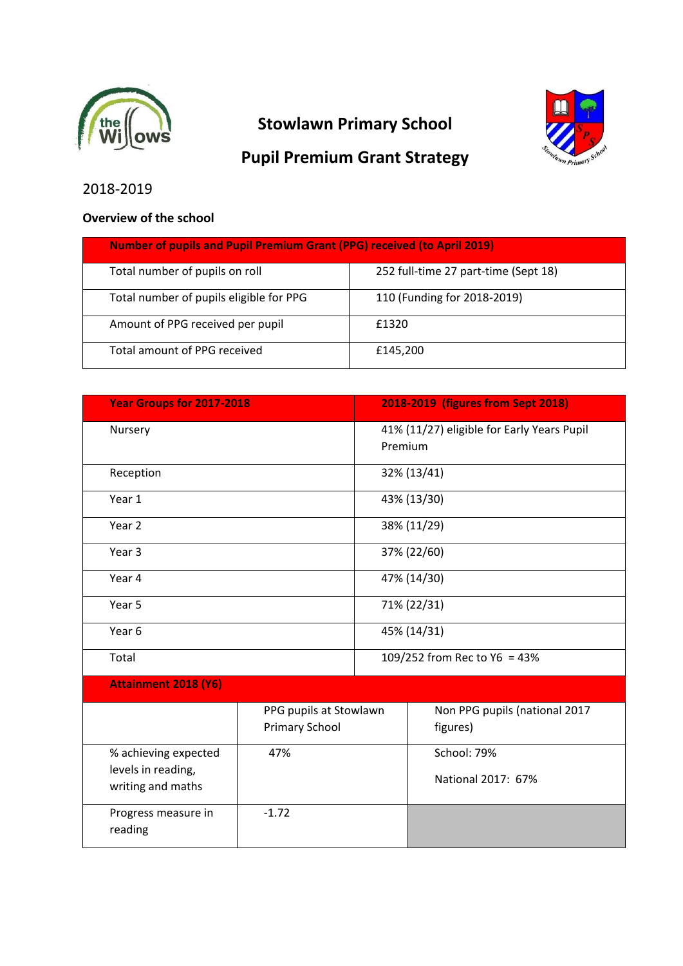

# **Stowlawn Primary School**





# 2018-2019

## **Overview of the school**

| <b>Number of pupils and Pupil Premium Grant (PPG) received (to April 2019)</b> |                                      |  |
|--------------------------------------------------------------------------------|--------------------------------------|--|
| Total number of pupils on roll                                                 | 252 full-time 27 part-time (Sept 18) |  |
| Total number of pupils eligible for PPG                                        | 110 (Funding for 2018-2019)          |  |
| Amount of PPG received per pupil                                               | £1320                                |  |
| Total amount of PPG received                                                   | £145,200                             |  |

| <b>Year Groups for 2017-2018</b>                                |                                                 |                                                       | 2018-2019 (figures from Sept 2018)        |
|-----------------------------------------------------------------|-------------------------------------------------|-------------------------------------------------------|-------------------------------------------|
| Nursery                                                         |                                                 | 41% (11/27) eligible for Early Years Pupil<br>Premium |                                           |
| Reception                                                       |                                                 |                                                       | 32% (13/41)                               |
| Year 1                                                          |                                                 |                                                       | 43% (13/30)                               |
| Year 2                                                          |                                                 |                                                       | 38% (11/29)                               |
| Year <sub>3</sub>                                               |                                                 |                                                       | 37% (22/60)                               |
| Year 4                                                          |                                                 |                                                       | 47% (14/30)                               |
| Year 5                                                          |                                                 |                                                       | 71% (22/31)                               |
| Year 6                                                          |                                                 |                                                       | 45% (14/31)                               |
| Total                                                           |                                                 |                                                       | 109/252 from Rec to Y6 = 43%              |
| <b>Attainment 2018 (Y6)</b>                                     |                                                 |                                                       |                                           |
|                                                                 | PPG pupils at Stowlawn<br><b>Primary School</b> |                                                       | Non PPG pupils (national 2017<br>figures) |
| % achieving expected<br>levels in reading,<br>writing and maths | 47%                                             |                                                       | School: 79%<br>National 2017: 67%         |
| Progress measure in<br>reading                                  | $-1.72$                                         |                                                       |                                           |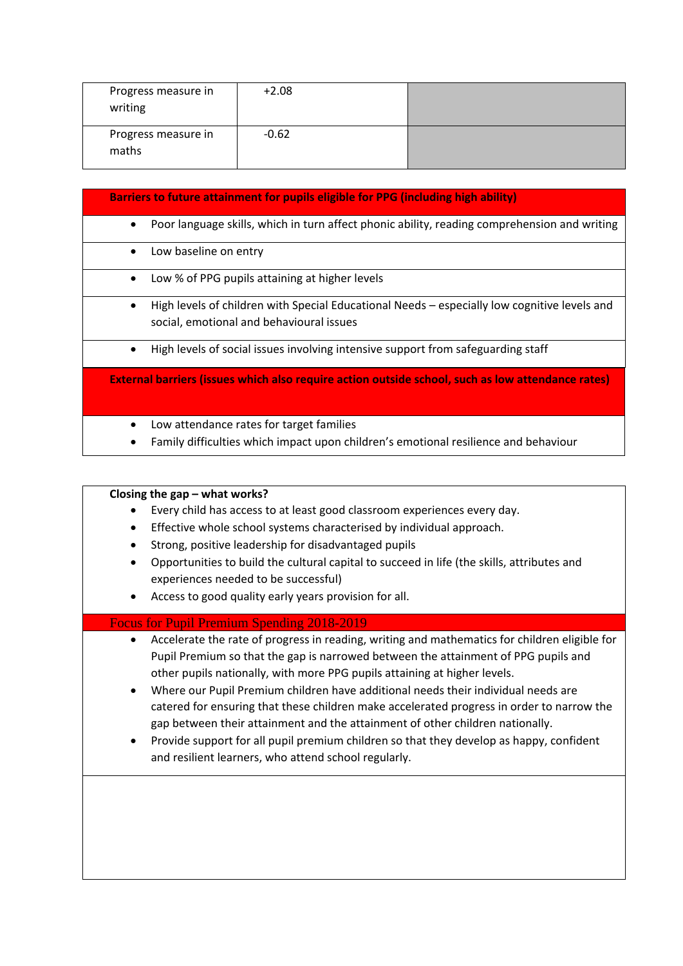| Progress measure in<br>writing | $+2.08$ |  |
|--------------------------------|---------|--|
| Progress measure in<br>maths   | $-0.62$ |  |

| Barriers to future attainment for pupils eligible for PPG (including high ability)                                                            |
|-----------------------------------------------------------------------------------------------------------------------------------------------|
| Poor language skills, which in turn affect phonic ability, reading comprehension and writing<br>$\bullet$                                     |
| Low baseline on entry<br>$\bullet$                                                                                                            |
| Low % of PPG pupils attaining at higher levels<br>٠                                                                                           |
| High levels of children with Special Educational Needs – especially low cognitive levels and<br>٠<br>social, emotional and behavioural issues |
| High levels of social issues involving intensive support from safeguarding staff<br>٠                                                         |
| External barriers (issues which also require action outside school, such as low attendance rates)                                             |
| Low attendance rates for target families<br>Family difficulties which impact upon children's emotional resilience and behaviour               |

|                                     | Closing the gap - what works?                                                                                                                                                                                                                                                                                                                                                                                                                                                                                                                                                                                                                                                          |
|-------------------------------------|----------------------------------------------------------------------------------------------------------------------------------------------------------------------------------------------------------------------------------------------------------------------------------------------------------------------------------------------------------------------------------------------------------------------------------------------------------------------------------------------------------------------------------------------------------------------------------------------------------------------------------------------------------------------------------------|
|                                     | Every child has access to at least good classroom experiences every day.                                                                                                                                                                                                                                                                                                                                                                                                                                                                                                                                                                                                               |
| ٠                                   | Effective whole school systems characterised by individual approach.                                                                                                                                                                                                                                                                                                                                                                                                                                                                                                                                                                                                                   |
| $\bullet$                           | Strong, positive leadership for disadvantaged pupils                                                                                                                                                                                                                                                                                                                                                                                                                                                                                                                                                                                                                                   |
| $\bullet$                           | Opportunities to build the cultural capital to succeed in life (the skills, attributes and<br>experiences needed to be successful)                                                                                                                                                                                                                                                                                                                                                                                                                                                                                                                                                     |
| $\bullet$                           | Access to good quality early years provision for all.                                                                                                                                                                                                                                                                                                                                                                                                                                                                                                                                                                                                                                  |
|                                     | <b>Focus for Pupil Premium Spending 2018-2019</b>                                                                                                                                                                                                                                                                                                                                                                                                                                                                                                                                                                                                                                      |
| $\bullet$<br>$\bullet$<br>$\bullet$ | Accelerate the rate of progress in reading, writing and mathematics for children eligible for<br>Pupil Premium so that the gap is narrowed between the attainment of PPG pupils and<br>other pupils nationally, with more PPG pupils attaining at higher levels.<br>Where our Pupil Premium children have additional needs their individual needs are<br>catered for ensuring that these children make accelerated progress in order to narrow the<br>gap between their attainment and the attainment of other children nationally.<br>Provide support for all pupil premium children so that they develop as happy, confident<br>and resilient learners, who attend school regularly. |
|                                     |                                                                                                                                                                                                                                                                                                                                                                                                                                                                                                                                                                                                                                                                                        |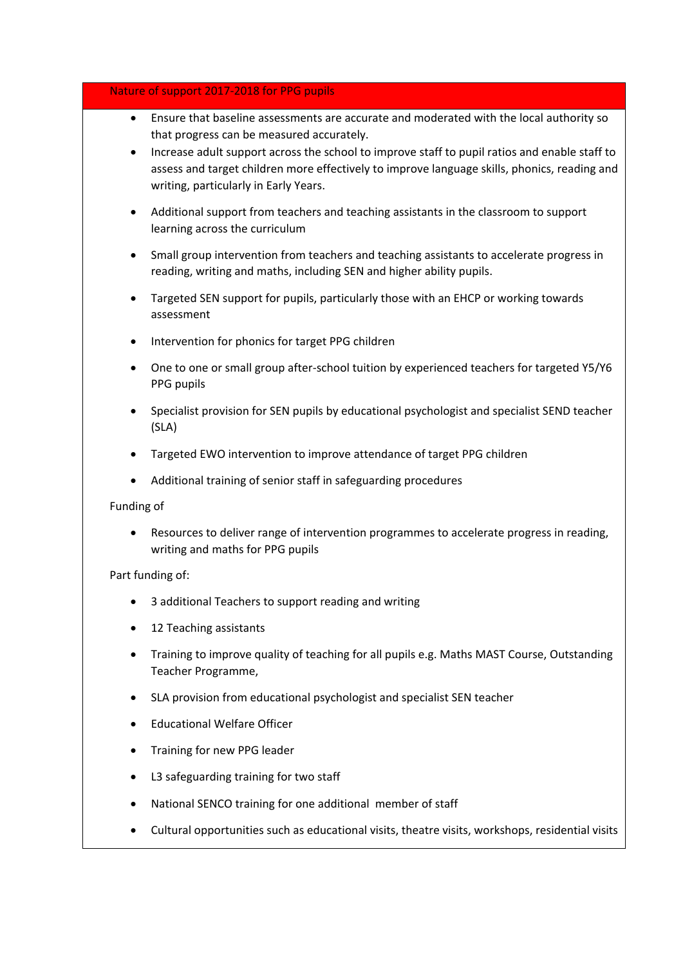#### Nature of support 2017-2018 for PPG pupils

- Ensure that baseline assessments are accurate and moderated with the local authority so that progress can be measured accurately.
- Increase adult support across the school to improve staff to pupil ratios and enable staff to assess and target children more effectively to improve language skills, phonics, reading and writing, particularly in Early Years.
- Additional support from teachers and teaching assistants in the classroom to support learning across the curriculum
- Small group intervention from teachers and teaching assistants to accelerate progress in reading, writing and maths, including SEN and higher ability pupils.
- Targeted SEN support for pupils, particularly those with an EHCP or working towards assessment
- Intervention for phonics for target PPG children
- One to one or small group after-school tuition by experienced teachers for targeted Y5/Y6 PPG pupils
- Specialist provision for SEN pupils by educational psychologist and specialist SEND teacher (SLA)
- Targeted EWO intervention to improve attendance of target PPG children
- Additional training of senior staff in safeguarding procedures

#### Funding of

 Resources to deliver range of intervention programmes to accelerate progress in reading, writing and maths for PPG pupils

#### Part funding of:

- 3 additional Teachers to support reading and writing
- 12 Teaching assistants
- Training to improve quality of teaching for all pupils e.g. Maths MAST Course, Outstanding Teacher Programme,
- SLA provision from educational psychologist and specialist SEN teacher
- Educational Welfare Officer
- Training for new PPG leader
- L3 safeguarding training for two staff
- National SENCO training for one additional member of staff
- Cultural opportunities such as educational visits, theatre visits, workshops, residential visits